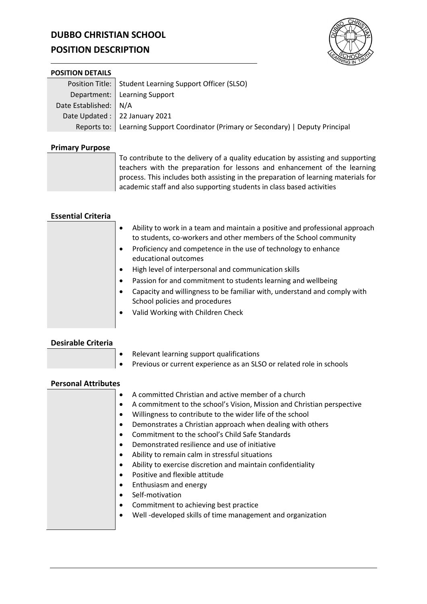# **DUBBO CHRISTIAN SCHOOL**

# **POSITION DESCRIPTION**



#### **POSITION DETAILS**

|                         | Position Title:   Student Learning Support Officer (SLSO)                            |
|-------------------------|--------------------------------------------------------------------------------------|
|                         | Department:   Learning Support                                                       |
| Date Established:   N/A |                                                                                      |
|                         | Date Updated :   22 January 2021                                                     |
|                         | Reports to:   Learning Support Coordinator (Primary or Secondary)   Deputy Principal |

## **Primary Purpose**

To contribute to the delivery of a quality education by assisting and supporting teachers with the preparation for lessons and enhancement of the learning process. This includes both assisting in the preparation of learning materials for academic staff and also supporting students in class based activities

# **Essential Criteria**

| Ability to work in a team and maintain a positive and professional approach |
|-----------------------------------------------------------------------------|
| to students, co-workers and other members of the School community           |
|                                                                             |

- Proficiency and competence in the use of technology to enhance educational outcomes
- High level of interpersonal and communication skills
- Passion for and commitment to students learning and wellbeing
- Capacity and willingness to be familiar with, understand and comply with School policies and procedures
- Valid Working with Children Check

# **Desirable Criteria**

- Relevant learning support qualifications
- Previous or current experience as an SLSO or related role in schools

### **Personal Attributes**

| A committed Christian and active member of a church                    |
|------------------------------------------------------------------------|
| A commitment to the school's Vision, Mission and Christian perspective |
| Willingness to contribute to the wider life of the school              |
| Demonstrates a Christian approach when dealing with others             |
| Commitment to the school's Child Safe Standards                        |
| Demonstrated resilience and use of initiative                          |
| Ability to remain calm in stressful situations                         |
| Ability to exercise discretion and maintain confidentiality            |
| Positive and flexible attitude                                         |
| Enthusiasm and energy                                                  |
| Self-motivation                                                        |
| Commitment to achieving best practice                                  |
| Well-developed skills of time management and organization              |
|                                                                        |